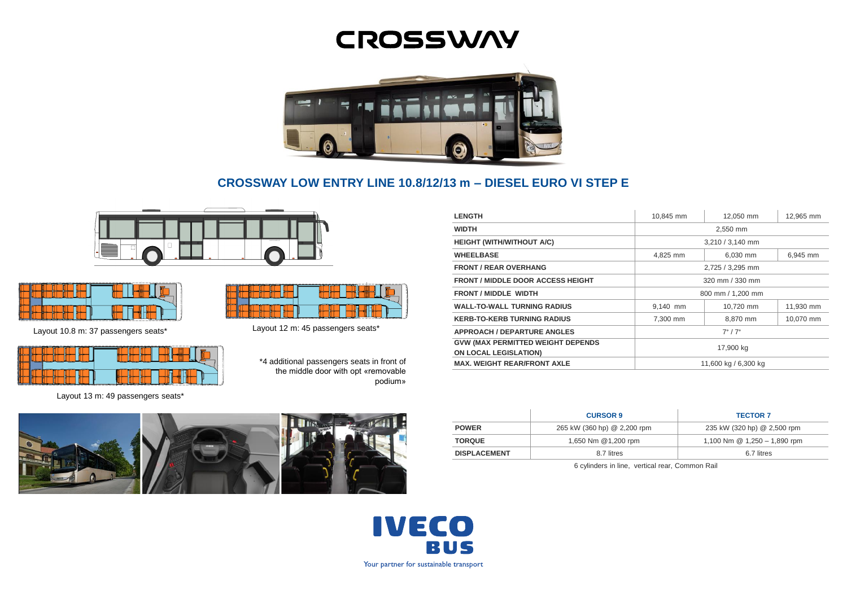# **CROSSWAY**



# **CROSSWAY LOW ENTRY LINE 10.8/12/13 m – DIESEL EURO VI STEP E**





Layout 10.8 m: 37 passengers seats\*



Layout 13 m: 49 passengers seats\*



Layout 12 m: 45 passengers seats\*

\*4 additional passengers seats in front of the middle door with opt «removable podium»

| <b>LENGTH</b>                                                            | 10,845 mm                 | 12,050 mm | 12,965 mm |
|--------------------------------------------------------------------------|---------------------------|-----------|-----------|
| <b>WIDTH</b>                                                             | 2,550 mm                  |           |           |
| <b>HEIGHT (WITH/WITHOUT A/C)</b>                                         | 3,210 / 3,140 mm          |           |           |
| <b>WHEELBASE</b>                                                         | 4,825 mm                  | 6,030 mm  | 6,945 mm  |
| <b>FRONT / REAR OVERHANG</b>                                             | 2,725 / 3,295 mm          |           |           |
| <b>FRONT / MIDDLE DOOR ACCESS HEIGHT</b>                                 | 320 mm / 330 mm           |           |           |
| <b>FRONT / MIDDLE WIDTH</b>                                              | 800 mm / 1,200 mm         |           |           |
| <b>WALL-TO-WALL TURNING RADIUS</b>                                       | 9.140 mm                  | 10.720 mm | 11,930 mm |
| <b>KERB-TO-KERB TURNING RADIUS</b>                                       | 7.300 mm                  | 8,870 mm  | 10,070 mm |
| <b>APPROACH / DEPARTURE ANGLES</b>                                       | $7^{\circ}$ / $7^{\circ}$ |           |           |
| <b>GVW (MAX PERMITTED WEIGHT DEPENDS</b><br><b>ON LOCAL LEGISLATION)</b> | 17,900 kg                 |           |           |
| <b>MAX. WEIGHT REAR/FRONT AXLE</b>                                       | 11,600 kg / 6,300 kg      |           |           |

|                     | <b>CURSOR 9</b>             | <b>TECTOR 7</b>                |
|---------------------|-----------------------------|--------------------------------|
| <b>POWER</b>        | 265 kW (360 hp) @ 2,200 rpm | 235 kW (320 hp) @ 2,500 rpm    |
| <b>TORQUE</b>       | 1,650 Nm @1,200 rpm         | 1,100 Nm $@$ 1,250 - 1,890 rpm |
| <b>DISPLACEMENT</b> | 8.7 litres                  | 6.7 litres                     |

6 cylinders in line, vertical rear, Common Rail